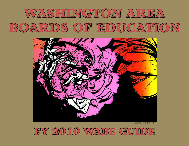# WASHINGTON AREA BOARDS OF FDUCATION



Joe DeSantis, Fairfax High School

FY 2010 WABE GUIDE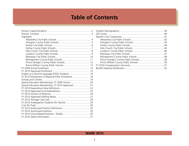# **Table of Contents**

| Highlights                                           |
|------------------------------------------------------|
|                                                      |
|                                                      |
|                                                      |
|                                                      |
|                                                      |
|                                                      |
|                                                      |
|                                                      |
|                                                      |
|                                                      |
|                                                      |
|                                                      |
| English as a Second Language (ESOL) Students  16     |
| FY 2010 Distribution of Regional ESOL Enrollment  18 |
|                                                      |
| Special Education Membership, FY 2009 Actual 20      |
| Special Education Membership, FY 2010 Approved 21    |
|                                                      |
|                                                      |
|                                                      |
|                                                      |
|                                                      |
|                                                      |
|                                                      |
|                                                      |
|                                                      |
|                                                      |
|                                                      |

**1**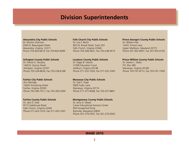### **Division Superintendents**

#### <span id="page-2-0"></span>**Alexandria City Public Schools**

Dr. Morton Sherman 2000 N. Beauregard Street Alexandria, Virginia 22311 Phone 703-824-6610, Fax 703-824-6699

#### **Arlington County Public Schools**

Dr. Patrick K. Murphy 1426 N. Quincy Street Arlington, Virginia 22207 Phone 703-228-8634, Fax 703-228-6188

#### **Fairfax City Public Schools**

Ann Monday 10455 Armstrong Street Fairfax, Virginia 22030 Phone 703-385-7911, Fax 703-359-2494

#### **Fairfax County Public Schools**

Dr. Jack D. Dale 8115 Gatehouse Road Falls Church, Virginia 22042 Phone 571-423-1010, Fax 571-423-1007

#### **Falls Church City Public Schools**

Dr. Lois F. Berlin 803 W. Broad Street, Suite 203 Falls Church, Virginia 22046 Phone 703-248-5601, Fax 703-248-5613

#### **Loudoun County Public Schools**

Dr. Edgar B. Hatrick 21000 Education Court Ashburn, Virginia 20148 Phone 571-252-1020, Fax 571-252-1003

#### **Manassas City Public Schools**

Dr. Gail E. Pope 9000 Tudor Lane Manassas, Virginia 20110 Phone 571-377-6008, Fax 703-257-8801

#### **Montgomery County Public Schools**

Dr. Jerry D. Weast Carver Educational Services Center 850 Hungerford Drive Rockville, Maryland 20850 Phone 301-279-3547, Fax 301-279-3045

#### **Prince George's County Public Schools**

Dr. William Hite 14201 School Lane Upper Marlboro, Maryland 20772 Phone 301-952-6091, Fax 301-952-6150

#### **Prince William County Public Schools**

Dr. Steven L. Walts P.O. Box 389 Manassas, Virginia 20108 Phone 703-791-8712, Fax 703-791-7309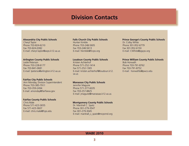### **Division Contacts**

#### <span id="page-3-0"></span>**Alexandria City Public Schools**

Cheryl Taylor Phone 703-824-6210 Fax 703-824-0382 E-mail: cheryl.taylor@acps.k12.va.us

#### **Arlington County Public Schools**

Leslie Peterson Phone 703-228-6177 Fax 703-841-0681 E-mail: [lpeterso@arlington.k12.va.us](mailto:lpeterso@arlington.k12.va.us)

#### **Fairfax City Public Schools**

Ann Monday, Division Superintendent Phone 703-385-7911 Fax 703-359-2494 E-mail: [amonday@fairfaxva.gov](mailto:amonday@fairfaxva.gov)

#### **Fairfax County Public Schools**

Chris Male Phone 571-423-3655 Fax 571-423-3607 E-mail: chris.mal[e@fcps.edu](mailto:chris.male@fcps.edu)

#### **Falls Church City Public Schools**

Hunter Kimble Phone 703-248-5605 Fax 703-248-5613 E-mail: [hkimble@fccps.org](mailto:hkimble@fccps.org)

#### **Loudoun County Public Schools**

Kristen Achterhof Phone 571-252-1414 Fax 571-252-1365 E-mail: [kristen.achterhof@loudoun.k12.](mailto:kristen.achterhof@loudoun.k12.va.us) [va.us](mailto:kristen.achterhof@loudoun.k12.va.us)

#### **Manassas City Public Schools**

Jennifer Maguire Phone 571-377-6035 Fax 703-257-8825 E-mail: [jmaguire@manassas.k12.va.us](mailto:jmaguire@manassas.k12.va.us)

#### **Montgomery County Public Schools**

Dr. Marshall C. Spatz Phone 301-279-3547 Fax 301-279-3045 E-mail: [marshall\\_c\\_spatz@mcpsmd.org](mailto:marshall_c_spatz@mcpsmd.org)

#### **Prince George's County Public Schools**

Dr. Colby White Phone 301-952-6779 Fax 301-952-6150 E-mail: [CWhite@pgcps.org](mailto:Matthew.Stanski@pgcps.org)

#### **Prince William County Public Schools**

Bob Horwath Phone 703-791-8762 Fax 703-791-8752 E-mail: [horwathb@pwcs.edu](mailto:horwathb@pwcs.edu)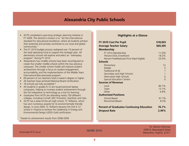### **Alexandria City Public Schools**

- <span id="page-4-0"></span>• ACPS completed a year-long strategic planning initiative in FY 2009. The division's mission is to "set the international standard for educational excellence, where all students achieve their potential and actively contribute to our local and global communities."
- The FY 2010 budget process realigned over 10 percent of the total operating fund to support the strategic plan. All elementary schools will explore and select an "exemplary program" during FY 2010.
- Alexandria's two middle schools have been reconfigured to create five smaller middle schools within the two previous campuses. The smaller school model will improve student achievement through a focus on student engagement, accountability, and the implementation of the Middle Years International Baccalaureate program.
- 69 percent of our teachers hold a master's degree or higher.
- 26 teachers have achieved National Board certification.
- 18 schools are fully accredited.\*
- All students in grades 9-12 are issued personal laptop computers, helping to increase student achievement through the full integration to technology as a tool for learning.
- Graduates from ACPS are attending nearly 150 different colleges, including Cornell, MIT, Princeton, Stanford, and Yale.
- ACPS has a state-of-the-art high school, TC Williams, which has won numerous awards for its environmentally friendly design. In June 2009, TC Williams became the first K-12 school in Virginia to achieve the Leadership in Energy and Environmental Design (LEED) Gold certification.

\*based on achievement results from 2008-2009

### **Highlights at a Glance**

| FY 2010 Cost Per Pupil                                                                                                                                                                 | \$18,003                                                                                  |
|----------------------------------------------------------------------------------------------------------------------------------------------------------------------------------------|-------------------------------------------------------------------------------------------|
| <b>Average Teacher Salary</b>                                                                                                                                                          | \$69,305                                                                                  |
| <b>Membership</b>                                                                                                                                                                      |                                                                                           |
| FY 2010 Membership<br>Percent FSOL Enrollment<br>Percent Free/Reduced Price Meal Eligible                                                                                              | 11,559<br>18.2%<br>53.0%                                                                  |
| <b>Schools</b>                                                                                                                                                                         |                                                                                           |
| Elementary<br>Middle<br>Traditional (K-8)<br>Secondary and High Schools<br>Alternative High Schools<br><b>Special Education Centers</b><br><b>Sources of Revenue</b><br>Local<br>State | 12<br>5<br>$\overline{1}$<br>$\overline{1}$<br>$\mathbf{0}$<br>$\Omega$<br>80.1%<br>13.1% |
| Other                                                                                                                                                                                  | 6.8%                                                                                      |
| <b>Authorized Positions</b>                                                                                                                                                            |                                                                                           |
| School-Based<br>Nonschool-Based                                                                                                                                                        | 91.7%<br>8.3%                                                                             |
| <b>Percent of Graduates Continuing Education</b>                                                                                                                                       | 76.7%                                                                                     |
| <b>Dropout Rate</b>                                                                                                                                                                    | 2.49%                                                                                     |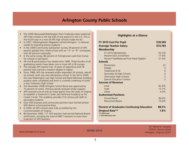### **Arlington County Public Schools**

- <span id="page-5-0"></span>• The 2009 *Newsweek/Washington Post* Challenge Index ranked all APS high schools in the top half of one percent in the U.S. This is the fourth year in a row all APS high schools made the list.
- In 2007, *Washingtonian Magazine* named Arlington "a national model for teaching diverse students."
- In the 2009 Community Satisfaction Survey, 94 percent of APS parents graded their child's school with an "A" or "B" (compared with 46 percent nationally).
- In the same survey, 86 percent of Arlingtonians said that money for schools is well spent.
- AP and IB participation has tripled since 1998. Three-fourths of all graduating seniors have taken one or more AP or IB courses.
- The average APS teacher has 13 years of experience and 78 percent have earned a master's degree or higher.
- Since 1988, APS has renewed and/or expanded 24 schools, rebuilt six schools, built one new elementary school. In the fall of 2009, the new Washington-Lee High School and Reed-Westover building projects were completed and work is currently underway to build a new Yorktown High School.
- The November 2008 Arlington School Bond was approved by 75 percent of voters. Previous bonds received similar support.
- APS received one of only six initial grants from the state of Virginia to establish a Governor's Career and Technical Academy at the Career Center. The academy provides 21st century job skills to secondary students.
- Over 450 business and community partners have formed almost 600 distinct school partnerships.
- In 2009, all APS schools were fully accredited by the Commonwealth of Virginia.
- By December 2008, 117 APS teachers had earned National Board certification, bringing the total of NBCT teachers to more than 6 percent of APS teachers.

### **Highlights at a Glance**

| FY 2010 Cost Per Pupil                           | \$18,569                 |
|--------------------------------------------------|--------------------------|
| <b>Average Teacher Salary</b>                    | \$73,783                 |
| <b>Membership</b>                                |                          |
| FY 2010 Membership                               | 20,130                   |
| Percent ESOL Enrollment                          | 17.4%                    |
| Percent Free/Reduced Price Meal Eligible*        | 31.6%                    |
| <b>Schools</b>                                   |                          |
| Elementary                                       | 22                       |
| Middle                                           | 5                        |
| Traditional (K-8)                                | $\Omega$                 |
| Secondary & High Schools                         | 4                        |
| Alternative High Schools                         | $\overline{3}$           |
| <b>Special Education Centers</b>                 | $\overline{\phantom{0}}$ |
| <b>Sources of Revenue</b>                        |                          |
| Local                                            | 82.4%                    |
| State                                            | 13.1%                    |
| Other                                            | 4.5%                     |
| <b>Authorized Positions</b>                      |                          |
| School-Based                                     | 89.4%                    |
| Nonschool-Based                                  | 10.6%                    |
| <b>Percent of Graduates Continuing Education</b> | 88.5%                    |
| <b>Dropout Rate**</b>                            | 1.8%                     |
| *FY 2009 Actual                                  |                          |
| ** 2007-2008 School Year                         |                          |

**WABE 2010**

Dr. Patrick K. Murphy 1426 N. Quincy Street [www.arlington.k12.va.us](http://www.arlington.k12.va.us) Arlington, Virginia 22207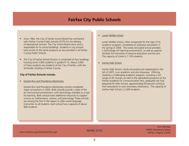### **Fairfax City Public Schools**

- <span id="page-6-0"></span>• Since 1962, the City of Fairfax School Board has contracted with Fairfax County Public Schools (FCPS) for the delivery of educational services. The City School Board owns and is responsible for its school buildings. Students in city schools have access to the same programs as are provided in all Fairfax County Public Schools.
- The City of Fairfax School Division is comprised of four buildings housing some 5,000 students in grades K-12. About 2,800 of these students are residents of the City of Fairfax, with the remainder residing in Fairfax County.

#### **City of Fairfax Schools include:**

• Daniels Run and Providence Elementary

Daniels Run and Providence elementary schools completed major renovations in 2000. Both schools provide a state of the art instructional environment, with technology available as a tool for learning. Both schools have additional resources to support a focus on mathematics, science, and technology. These schools are among the first in the region to offer world language instruction to all students. Each school has a capacity of about 800 students.

#### • Lanier Middle School

Lanier Middle School, often recognized for the rigor of its academic program, completed an extensive renovation in the spring of 2008. The newly renovated school provides a technology rich learning environment, as well as superior facilities for instruction in physical education and the arts. The capacity of Lanier is 1,100 students.

• Fairfax High School

Fairfax High School, newly renovated and rededicated in the fall of 2007, is an academic and arts showcase. Offering students a challenging academic program, including a full range of AP courses, as well as the specialized programs of the Fairfax Academy for Communication Arts, graduates are fully prepared for their futures; approximately 90 percent continue their educations in post secondary institutions. The capacity of Fairfax High School is 2,400 students.

1045 Mww.fairfaxva.gov/school/school.asp Fairfax, Virginia 22030

**WABE 2010**

Ann Monday<br>10455 Armstrong Street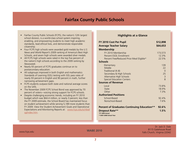### **Fairfax County Public Schools**

- <span id="page-7-0"></span>• Fairfax County Public Schools (FCPS), the nation's 12th largest school division, is a world-class school system inspiring, enabling, and empowering students to meet high academic standards, lead ethical lives, and demonstrate responsible citizenship.
- Four FCPS high schools were awarded gold medals by the *U.S. News and World Report's* 2009 ranking of America's Best High Schools, and seven high schools were awarded silver medals.
- All FCPS high schools were rated in the top five percent of the nation's high schools according to the 2009 ranking by *Newsweek*.
- Nearly 93 percent of FCPS graduates continue on to postsecondary education.
- All subgroups improved in both English and mathematics Standards of Learning (SOL) testing with SOL pass rates of nearly 93 percent in English and 90 percent in math, further narrowing achievement gaps.
- FCPS students outpace both state and national average scores on the SATs.
- The November 2009 FCPS School Bond was approved by 70 percent of voters—voicing strong support for FCPS schools.
- Despite challenging economic trends, including an FY 2010 budget which was \$64.4 million, or nearly 3 percent, less than the FY 2009 estimate, the School Board has maintained focus on student achievement while serving 5,189 more students than FY 2009. View the Student Achievement Goals and Operational Expectations and Monitoring Reports at: [www.fcps.edu/schlbd/](http://www.fcps.edu/schlbd/sg/index.htm) [sg/index.htm](http://www.fcps.edu/schlbd/sg/index.htm).

### **Highlights at a Glance**

| FY 2010 Cost Per Pupil                             | \$12,898       |
|----------------------------------------------------|----------------|
| <b>Average Teacher Salary</b>                      | \$64,653       |
| <b>Membership</b>                                  |                |
| FY 2010 Membership                                 | 173,573        |
| Percent FSOI Fnrollment                            | 12.3%          |
| Percent Free/Reduced Price Meal Eligible*          | 22.5%          |
| <b>Schools</b>                                     |                |
| Elementary                                         | 139            |
| Middle                                             | 22             |
| Traditional (K-8)                                  | $\Omega$       |
| Secondary & High Schools                           | 25             |
| Alternative High Schools                           | $\overline{3}$ |
| <b>Special Education Centers</b>                   | $\mathsf{R}$   |
| <b>Sources of Revenue</b>                          |                |
| Local                                              | 73.8%          |
| State                                              | 18.9%          |
| Other                                              | 7.3%           |
| <b>Authorized Positions</b>                        |                |
| School-Based                                       | 92.4%          |
| Nonschool-Based                                    | 7.6%           |
| <b>Percent of Graduates Continuing Education**</b> | $92.6\%$       |
| Dropout Rate**<br>*FY 2009 Actual                  | 1.5%           |
| **2007-2008 School Year                            |                |

**WABE 2010**

Dr. Jack D. Dale 8115 Gatehouse Road [www.fcps.edu](http://www.fcps.edu) **Falls Church, Virginia 22042**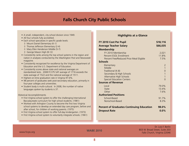### **Falls Church City Public Schools**

<span id="page-8-0"></span>

|  |  | • A small, independent, city school division since 1949. |  |  |  |  |  |
|--|--|----------------------------------------------------------|--|--|--|--|--|
|--|--|----------------------------------------------------------|--|--|--|--|--|

- All four schools fully accredited.
- Each school specializes in specific grade levels:
	- ◊ Mount Daniel Elementary (K-1)
	- ◊ Thomas Jefferson Elementary (2-4)
	- ◊ Mary Ellen Henderson Middle (5-7)
	- ◊ George Mason High (8-12)
- Consistently ranks among the top school systems in the region and nation in analyses conducted by the *Washington Post* and *Newsweek* magazine.
- Consistently recognized for excellence by the Virginia Department of Education and the U.S. Department of Education.
- Consistently scores above state and national averages on standardized tests. 2008 FCCPS SAT average of 1716 exceeds the state average of 1522 and the national average of 1511.
- Highest on-time graduation rate in Virginia 97.6%.
- 98 percent of graduates seek post-secondary education, primarily in four-year colleges and universities.
- Student body is multi-cultural. In 2008, the number of native languages spoken by students is 37.

Historical Accomplishments

- First Virginia school system to offer the challenging International Baccalaureate curriculum for high school students. (1981)
- Worked with Arlington County to become the first two Virginia school systems to develop an extended day care program, before and after school, for children of working parents. (1975)
- First Virginia school system to offer full-day kindergarten. (1973)
- First Virginia school system to voluntarily integrate schools. (1961)

### **Highlights at a Glance**

| FY 2010 Cost Per Pupil                                                                                                                                                                               | \$18,116                                                                                                                     |
|------------------------------------------------------------------------------------------------------------------------------------------------------------------------------------------------------|------------------------------------------------------------------------------------------------------------------------------|
| <b>Average Teacher Salary</b>                                                                                                                                                                        | \$66,035                                                                                                                     |
| <b>Membership</b>                                                                                                                                                                                    |                                                                                                                              |
| FY 2010 Membership<br>Percent ESOL Enrollment<br>Percent Free/Reduced Price Meal Eligible                                                                                                            | 2,021<br>11.8%<br>7.5%                                                                                                       |
| <b>Schools</b>                                                                                                                                                                                       |                                                                                                                              |
| Elementary<br>Middle<br>Traditional (K-8)<br>Secondary & High Schools<br>Alternative High Schools<br><b>Special Education Centers</b><br><b>Sources of Revenue</b><br>Local<br><b>State</b><br>Other | $\overline{2}$<br>$\overline{1}$<br>$\overline{0}$<br>$\overline{1}$<br>$\overline{1}$<br>$\Omega$<br>79.0%<br>13.4%<br>7.6% |
| <b>Authorized Positions</b>                                                                                                                                                                          |                                                                                                                              |
| School-Based<br>Nonschool-Based                                                                                                                                                                      | 91.7%<br>8.3%                                                                                                                |
| <b>Percent of Graduates Continuing Education</b><br><b>Dropout Rate</b>                                                                                                                              | 98.0%<br>0.0%                                                                                                                |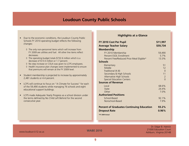### **Loudoun County Public Schools**

- <span id="page-9-0"></span>• Due to the economic conditions, the Loudoun County Public Schools FY 2010 operating budget reflects the following changes:
	- ◊ The only non-personnel items which will increase from FY 2009 are utilities and fuel. All other line items reflect decreases.
	- ◊ The operating budget totals \$732.6 million which is a decrease of \$13.0 million or 1.7 percent.
	- ◊ No step increase or COLA was given to LCPS employees.
	- ◊ Health insurance plan changes were implemented to ensure that premiums will remain at the FY 2009 level.
- Student membership is projected to increase by approximately 2,481 students or 4.4 percent.
- LCPS will continue to focus on "A Climate for Success" for each of the 59,490 students while managing 76 schools and eight educational support buildings.
- LCPS made Adequate Yearly Progress as a school division under the terms defined by No Child Left Behind for the second consecutive year.

#### **Highlights at a Glance**

| FY 2010 Cost Per Pupil                           | \$11,997 |
|--------------------------------------------------|----------|
| <b>Average Teacher Salary</b>                    | \$59,734 |
| <b>Membership</b>                                |          |
| FY 2010 Membership                               | 59,490   |
| Percent ESOL Enrollment                          | 5.7%     |
| Percent Free/Reduced Price Meal Eligible*        | 13.3%    |
| <b>Schools</b>                                   |          |
| Elementary                                       | 51       |
| Middle                                           | 12       |
| Traditional (K-8)                                | $\Omega$ |
| Secondary & High Schools                         | 11       |
| Alternative High Schools                         | 2        |
| <b>Special Education Centers</b>                 | $\Omega$ |
| <b>Sources of Revenue</b>                        |          |
| Local                                            | 68.6%    |
| State                                            | 24.4%    |
| Other                                            | 7.0%     |
| <b>Authorized Positions</b>                      |          |
| School-Based                                     | 92.1%    |
| Nonschool-Based                                  | 7.9%     |
| <b>Percent of Graduates Continuing Education</b> | 93.2%    |
| <b>Dropout Rate</b>                              | 0.96%    |
| *FY 2009 Actual                                  |          |
|                                                  |          |

**WABE 2010**

Dr. Edgar B. Hatrick 21000 Education Court [www.loudoun.k12.va.us](http://www.loudoun.k12.va.us) Ashburn, Virginia 20148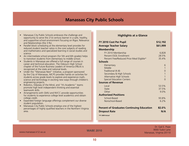### **Manassas City Public Schools**

- <span id="page-10-0"></span>• Manassas City Public Schools embraces the challenge and opportunity to serve the 21st century learner in a safe, healthy, and supportive school environment focusing on Rigor, Relevance and Relationships (the 3 Rs).
- Parallel block scheduling at the elementary level provides for reduced student teacher ratios in the core subjects of reading and mathematics and specialized learning in social studies and science.
- An intermediate school program (for 5th and 6th grades) helps to transition students from elementary to middle school.
- Students in Manassas are offered a full range of courses in career and technical education. The Osbourn High School chapter of the Future Business Leaders of America (FBLA) is recognized at the state and national levels.
- Under the "Manassas Next" initiative, a program sponsored by the City of Manassas, MCPS provides hands on activities for students across grade levels to explore and experience math, science and technology in exciting new ways through children's engineering projects.
- Robotics, Odyssey of the Mind, and "It's Academic" teams promote high level independent thinking and essential teamwork skills.
- Arrangements with GMU and NVCC provide opportunities for students to experience college level academics and obtain college credit.
- Expanded foreign language offerings complement our diverse student population.
- Manassas City Public Schools employs one of the highest percentages of highly qualified teachers in the Northern Virginia area.

### **Highlights at a Glance**

| FY 2010 Cost Per Pupil                           | \$12,192     |
|--------------------------------------------------|--------------|
| <b>Average Teacher Salary</b>                    | \$61,999     |
| <b>Membership</b>                                |              |
| FY 2010 Membership                               | 6,828        |
| Percent ESOL Enrollment                          | 28.5%        |
| Percent Free/Reduced Price Meal Eligible*        | 35.4%        |
| <b>Schools</b>                                   |              |
| Elementary                                       | 6            |
| Middle                                           | $\mathbf{1}$ |
| Traditional (K-8)                                | $\Omega$     |
| Secondary & High Schools                         | $\mathbf{1}$ |
| Alternative High Schools                         | $\mathbf{1}$ |
| <b>Special Education Centers</b>                 | $\Omega$     |
| <b>Sources of Revenue</b>                        |              |
| Local                                            | 53.5%        |
| State                                            | 37.5%        |
| Other                                            | 9.0%         |
| <b>Authorized Positions</b>                      |              |
| School-Based                                     | 93.8%        |
| Nonschool-Based                                  | 6.2%         |
| <b>Percent of Graduates Continuing Education</b> | 82.0%        |
| <b>Dropout Rate</b>                              | N/A          |
| *FY 2009 Actual                                  |              |
|                                                  |              |

[www.manassas.k12.va.us](http://www.manassas.k12.va.us) **Manassas.k12.va.us** Manassas, Virginia 20110

**WABE 2010**

Dr. Gail E. Pope 9000 Tudor Lane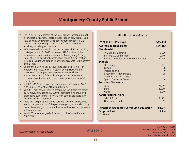### **Montgomery County Public Schools**

- <span id="page-11-0"></span>• For FY 2010, 79.5 percent of the \$2.2 billion Operating Budget is for direct instructional costs. School support services received 15.3 percent, and system wide administrative support is 2.5 percent. The remaining 2.7 percent is for enterprise fund activities, including food services.
- MCPS received an operating budget increase of \$133.1 million, or 6.4 percent, in FY 2010. However, \$79.5 million of the increase consisted of reimbursement to Montgomery County for debt service on school construction bonds. Compensation, including salaries and employee benefits, accounts for 89 percent of this total.
- During the past nine years, MCPS has added \$116.9 million in reform initiatives, the vast majority going directly to the classroom. The largest increase went to early childhood education (including full-day kindergarten in all elementary schools), class size reduction, staff development, and special education.
- In 2009, MCPS had a system-wide average SAT score of 1616 with 78 percent of students taking the test.
- Six MCPS high schools ranked among the top 110 in the nation by *Newsweek* magazine in 2009 for providing a rigorous and challenging curriculum. All MCPS high schools are listed in the top 3.5 percent nationwide.
- More than 90 percent of kindergartners have met or exceeded reading targets in each of the past three years, essentially closing the achievement gap by race, ethnicity, and socioeconomic status at this grade level.
- Nearly 50 percent of grade 5 students took advanced math in 2008-2009.

#### **Highlights at a Glance**

| FY 2010 Cost Per Pupil                           | \$15,490       |
|--------------------------------------------------|----------------|
| <b>Average Teacher Salary</b>                    | \$76,483       |
| <b>Membership</b>                                |                |
| FY 2010 Membership                               | 140,500        |
| Percent FSOL Enrollment                          | 12.1%          |
| Percent Free/Reduced Price Meal Eligible*        | 27.1%          |
| <b>Schools</b>                                   |                |
| Elementary                                       | 131            |
| Middle                                           | 38             |
| Traditional (K-8)                                | $\Omega$       |
| Secondary & High Schools                         | 25             |
| Alternative High Schools                         | $\mathbf{1}$   |
| <b>Special Education Centers</b>                 | $\overline{4}$ |
| <b>Sources of Revenue</b>                        |                |
| Local                                            | 71.3%          |
| State                                            | 20.5%          |
| Other                                            | 8.2%           |
| <b>Authorized Positions</b>                      |                |
| School-Based                                     | 93.4%          |
| Nonschool-Based                                  | 6.6%           |
| <b>Percent of Graduates Continuing Education</b> | 92.9%          |
| <b>Dropout Rate</b><br>*FY 2009 Actual           | 2.7%           |
|                                                  |                |

[www.montgomeryschoolsmd.org](http://www.montgomeryschoolsmd.org)

**WABE 2010**

Dr. Jerry D. Weast Carver Educational Services Center 850 Hungerford Drive Rockville, Maryland 20850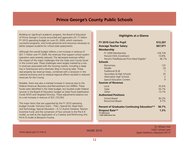### **Prince George's County Public Schools**

<span id="page-12-0"></span>Building on significant academic progress, the Board of Education of Prince George's County reconciled and approved a \$1.71 billion FY 2010 operating budget on June 25, 2009, which maintains successful programs, and funds personnel and resources necessary to better prepare students for critical state assessments.

Although the overall budget reflects a net increase in revenue of \$31.7 million over FY 2009, the revenues that support school system operation were severely reduced. The decreased revenues reflect the impact of the major challenges that the State and County faced in the current year. These challenges were largely marked by a loss in revenues associated with the housing market, including a steep rise in foreclosures and a dramatic drop in housing sales. These real property tax revenue losses, combined with a recession in the national economy and its residual regional effects resulted in reduced revenues for the County.

Notable, there was also a marked increase in revenue due to the Federal American Recovery and Reinvestment Act (ARRA). These funds were identified in the State budget, but located under Federal sources in the Board of Education budget as State Fiscal Stabilization Funds (SFSF) and Targeted Stimulus. These adjustments balance out to a net increase in revenue of \$31,723,952.

The major items that are supported by the FY 2010 operating budget include: Stimulus Grant – Title I, Special Ed, Head Start, and Technology; Special Education – K-12 Autism Initiative; Teacher Incentive Fund; and the conversion of four schools to the Pre-K 8 model, as well as the duplication of a Creative and Performing Arts Pre-K 8 model at Benjamin Foulios.

#### **Highlights at a Glance**

| FY 2010 Cost Per Pupil                             | \$12,267     |
|----------------------------------------------------|--------------|
| <b>Average Teacher Salary</b>                      | \$67,971     |
| <b>Membership</b>                                  |              |
| FY 2009 Membership                                 | 128,728      |
| Percent FSOI Fnrollment                            | 10.8%        |
| Percent Free/Reduced Price Meal Eligible*          | 46.7%        |
| <b>Schools</b>                                     |              |
| Elementary                                         | 132          |
| Middle                                             | 24           |
| Traditional (K-8)                                  | 7            |
| Secondary & High Schools                           | 25           |
| Alternative High Schools                           | 2            |
| <b>Special Education Centers</b>                   | $\mathsf{Q}$ |
| <b>Sources of Revenue</b>                          |              |
| Local                                              | 35.6%        |
| State                                              | 50.7%        |
| Other                                              | 13.7%        |
| <b>Authorized Positions</b>                        |              |
| School-Based                                       | 90.3%        |
| Nonschool-Based                                    | 9.7%         |
| <b>Percent of Graduates Continuing Education**</b> | 56.7%        |
| Dropout Rate**                                     | 1.3%         |
| *FY 2009 Actual                                    |              |
| **2007-2008 School Year                            |              |

**WABE 2010**

Dr. William Hite 14201 School Lane [www.pgcps.pg.k12.md.us](http://www.pgcps.pg.k12.md.us) example and the contract of the contract of the Upper Marlboro, Maryland 20772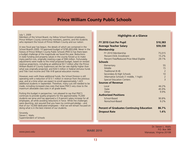### **Prince William County Public Schools**

#### <span id="page-13-0"></span>July 1, 2009

Members of the School Board, my fellow School Division employees, Prince William County community members, parents, and the students who represent the future of Prince William County and our nation:

A new fiscal year has begun, the details of which are contained in the School Board's 2009 -10 approved budget of \$785,893,698. Never in the history of Prince William County Public Schools (PWCS) has there been a budget challenge of the magnitude we faced this year. Reductions in state funding and property values in the county forced us to make many painful cuts, originally creating a gap of \$94 million. Fortunately, adjustments were made to the initial proposed budget, based on revised revenue projections, including an additional \$3.7 million after the Prince William Board of County Supervisors set the tax rate slightly higher than what was originally projected, and \$34.5 million in federal stimulus funds and Title I low income and Title VI-B special education monies.

However, even with these additional funds, the School Division is still operating with a reduction of \$13.1 million in revenue from the previous year, and at a time when we expect to enroll approximately 1,423 additional students in September. Therefore, many cuts still needed to be made, including increased class sizes that leave PWCS very close to the maximum allowable class sizes in all grade levels.

Putting this budget in perspective, I am pleased to say that PWCS continues to provide quality programs for the approximately 75,000 students we serve and has approved a 2.9 percent salary increase for all employees, all while avoiding reductions in force. While the challenges were daunting, rest assured that you have my continued pledge – and that of our 10,000 dedicated employees – that we will remain focused on doing what is in the best interest of our students.

Sincerely, Steven L. Walts Superintendent of Schools

#### **Highlights at a Glance**

| FY 2010 Cost Per Pupil                           | \$10,383       |
|--------------------------------------------------|----------------|
| <b>Average Teacher Salary</b>                    | \$59,330       |
| <b>Membership</b>                                |                |
| FY 2010 Membership                               | 75,015         |
| Percent FSOL Enrollment                          | 15.2%          |
| Percent Free/Reduced Price Meal Eligible         | 29.1%          |
| <b>Schools</b>                                   |                |
| Elementary                                       | 55             |
| Middle                                           | 15             |
| Traditional (K-8)                                | $\mathcal{P}$  |
| Secondary & High Schools                         | 10             |
| Alternative Schools (1 middle, 1 high)           | $\overline{c}$ |
| <b>Special Education Centers</b>                 | $\overline{3}$ |
| <b>Sources of Revenue</b>                        |                |
| Local                                            | 44.2%          |
| State                                            | 45.9%          |
| Other                                            | 9.9%           |
| <b>Authorized Positions</b>                      |                |
| School-Based                                     | 90.8%          |
| Nonschool-Based                                  | 9.2%           |
| <b>Percent of Graduates Continuing Education</b> | 86.7%          |
| <b>Dropout Rate</b>                              | 1.4%           |
|                                                  |                |

**WABE 2010**

Dr. Steven L. Walts P.O. Box 389 [www.pwcs.edu](http://www.pwcs.edu) Manassas, Virginia 20108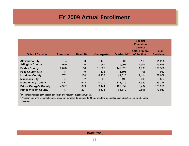### **FY 2009 Actual Enrollment**

<span id="page-14-0"></span>

| <b>School Division</b>        | Preschool* | <b>Head Start</b> | Kindergarten | Grades 1-12 | <b>Special</b><br><b>Education</b><br>Level <sub>2</sub><br>(50% or more<br>of the time) | Total<br><b>Enrollment</b> |
|-------------------------------|------------|-------------------|--------------|-------------|------------------------------------------------------------------------------------------|----------------------------|
|                               |            |                   |              |             |                                                                                          |                            |
| <b>Alexandria City</b>        | 124        | $\mathbf 0$       | 1,179        | 9,807       | 115                                                                                      | 11,225                     |
| <b>Arlington County</b>       | 940        | $\overline{0}$    | 1,697        | 15,601      | 1,307                                                                                    | 19,545                     |
| <b>Fairfax County</b>         | 2,076      | 1,118             | 11,529       | 142,820     | 11,995                                                                                   | 169,538                    |
| <b>Falls Church City</b>      | 41         | $\overline{0}$    | 138          | 1,695       | 108                                                                                      | 1,982                      |
| <b>Loudoun County</b>         | 762        | 100               | 4,423        | 49,310      | 2,414                                                                                    | 57,009                     |
| <b>Manassas City</b>          | 77         | 52                | 505          | 5,498       | 405                                                                                      | 6,537                      |
| <b>Montgomery County</b>      | 2,477      | 618               | 10,030       | 118,216     | 7,935                                                                                    | 139,276                    |
| <b>Prince George's County</b> | 4,997      | 1,099             | 9,144        | 109,557     | 3,432                                                                                    | 128,229                    |
| <b>Prince William County</b>  | 747        | 221               | 5,535        | 64,812      | 2,598                                                                                    | 73,913                     |

\* Preschool includes both special education and regular education students.

<sup>1</sup> Arlington County's preschool special education numbers do not include 24 students for preschool special education community-based services.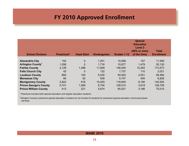# **FY 2010 Approved Enrollment**

<span id="page-15-0"></span>

| <b>School Division</b>               | Preschool* | <b>Head Start</b> | Kindergarten | Grades 1-12 | <b>Special</b><br><b>Education</b><br>Level 2<br>(50% or more<br>of the time) | <b>Total</b><br><b>Enrollment</b> |
|--------------------------------------|------------|-------------------|--------------|-------------|-------------------------------------------------------------------------------|-----------------------------------|
|                                      |            |                   |              |             |                                                                               |                                   |
| <b>Alexandria City</b>               | 152        | $\mathbf 0$       | 1,201        | 10,099      | 107                                                                           | 11,559                            |
| <b>Arlington County</b> <sup>1</sup> | 1,058      | $\mathbf 0$       | 1,716        | 15,877      | 1,479                                                                         | 20,130                            |
| <b>Fairfax County</b>                | 2,128      | 1,288             | 11,829       | 146,045     | 12,283                                                                        | 173,573                           |
| <b>Falls Church City</b>             | 42         | $\overline{0}$    | 132          | 1,737       | 110                                                                           | 2,021                             |
| <b>Loudoun County</b>                | 884        | 100               | 5,035        | 50,920      | 2,551                                                                         | 59,490                            |
| <b>Manassas City</b>                 | 85         | 52                | 539          | 5,747       | 405                                                                           | 6,828                             |
| <b>Montgomery County</b>             | 2,822      | 618               | 10,025       | 118,845     | 8,190                                                                         | 140,500                           |
| <b>Prince George's County</b>        | 5,741      | 1,099             | 8,754        | 109,515     | 3,619                                                                         | 128,728                           |
| <b>Prince William County</b>         | 413        | 221               | 5,674        | 65,521      | 3.186                                                                         | 75,015                            |

\* Preschool includes both special education and regular education students.

<sup>1</sup>Arlington County's preschool special education numbers do not include 24 students for preschool special education community-based services.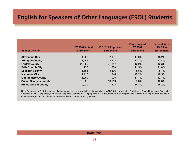# <span id="page-16-0"></span>**English for Speakers of Other Languages (ESOL) Students**

| <b>School Division</b>        | FY 2009 Actual<br><b>Enrollment</b> | FY 2010 Approved<br><b>Enrollment</b> | <b>Percentage of</b><br><b>FY 2009</b><br><b>Enrollment</b> | <b>Percentage of</b><br><b>FY 2010</b><br><b>Enrollment</b> |
|-------------------------------|-------------------------------------|---------------------------------------|-------------------------------------------------------------|-------------------------------------------------------------|
| <b>Alexandria City</b>        | 1,903                               | 2,101                                 | 17.0%                                                       | 18.2%                                                       |
| <b>Arlington County</b>       | 3,456                               | 3,503                                 | 17.7%                                                       | 17.4%                                                       |
| <b>Fairfax County</b>         | 20,689                              | 21,347                                | 12.2%                                                       | 12.3%                                                       |
| <b>Falls Church City</b>      | 228                                 | 238                                   | 11.5%                                                       | 11.8%                                                       |
| <b>Loudoun County</b>         | 3,156                               | 3,376                                 | 5.5%                                                        | 5.7%                                                        |
| <b>Manassas City</b>          | 1,910                               | 1,946                                 | 29.2%                                                       | 28.5%                                                       |
| <b>Montgomery County</b>      | 16,250                              | 17,000                                | 11.7%                                                       | 12.1%                                                       |
| <b>Prince George's County</b> | 12,626                              | 13,919                                | 9.8%                                                        | 10.8%                                                       |
| <b>Prince William County</b>  | 10,929                              | 11,403                                | 14.8%                                                       | 15.2%                                                       |

Note: Programs for English speakers of other languages use several different names in the WABE districts, including English as a Second Language, English for Speakers of Other Languages, and English Language Learners. For the purposes of this document, all such programs are referred to as English for Speakers of Other Languages, and enrollment includes only those students receiving services.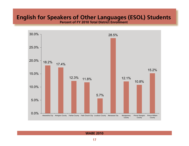# **English for Speakers of Other Languages (ESOL) Students**

**Percent of FY 2010 Total District Enrollment**

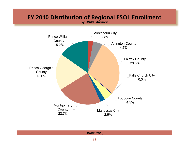### <span id="page-18-0"></span>**FY 2010 Distribution of Regional ESOL Enrollment by WABE division**

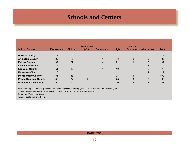### **Schools and Centers**

<span id="page-19-0"></span>

| <b>School Division</b>              | <b>Elementary</b> | <b>Middle</b> | <b>Traditional</b><br>$(K-8)$ | <b>Secondary</b> | <b>High</b> | <b>Special</b><br><b>Education</b> | <b>Alternative</b> | <b>Total</b> |
|-------------------------------------|-------------------|---------------|-------------------------------|------------------|-------------|------------------------------------|--------------------|--------------|
| Alexandria City <sup>1</sup>        | 12                | 5             |                               |                  |             |                                    |                    | 19           |
| <b>Arlington County</b>             | 22                | 5             |                               |                  | 3           | 2                                  | 3                  | 36           |
| <b>Fairfax County</b>               | 139               | 22            |                               | 4                | 21          | 8                                  | 3                  | 197          |
| <b>Falls Church City</b>            | 2                 |               |                               |                  |             |                                    |                    | 5            |
| <b>Loudoun County</b>               | 51                | 12            |                               |                  | 10          |                                    | 2                  | 76           |
| <b>Manassas City</b>                | 6                 |               |                               |                  |             |                                    |                    | 9            |
| <b>Montgomery County</b>            | 131               | 38            |                               |                  | 25          | 4                                  | 1 <sup>2</sup>     | 199          |
| Prince George's County <sup>3</sup> | 132               | 24            |                               |                  | 25          | 9                                  | 2                  | 199          |
| <b>Prince William County</b>        | 55                | 15            |                               |                  | 10          | 3                                  | 2                  | 87           |

 $1$  Alexandria City has one 9th grade center and one high school housing grades 10-12. For state purposes they are

counted as one high school. Also Jefferson Houston (K-6) is listed under traditional K-8.  $^{2}$  Career and Technology Center.

<sup>3</sup> Includes public charter schools.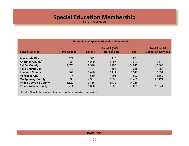### **Special Education Membership FY 2009 Actual**

<span id="page-20-0"></span>

|                               |                   |         | <b>Unduplicated Special Education Membership</b> |              |                                                   |
|-------------------------------|-------------------|---------|--------------------------------------------------|--------------|---------------------------------------------------|
| <b>School Division</b>        | <b>Pre-School</b> | Level 1 | Level 2 (50% or<br>more of time)                 | <b>Total</b> | <b>Total Special</b><br><b>Education Services</b> |
| <b>Alexandria City</b>        | 124               | 1,592   | 115                                              | 1,831        |                                                   |
| Arlington County <sup>1</sup> | 336               | 1,290   | 1,307                                            | 2,933        | 5,176                                             |
| <b>Fairfax County</b>         | 2,076             | 9,946   | 11,995                                           | 24,017       | 43,680                                            |
| <b>Falls Church City</b>      | 19                | 131     | 108                                              | 258          | 384                                               |
| <b>Loudoun County</b>         | 607               | 3,496   | 2,414                                            | 6,517        | 13,034                                            |
| <b>Manassas City</b>          | 47                | 550     | 405                                              | 1,002        | 1,162                                             |
| <b>Montgomery County</b>      | 599               | 7,951   | 7,935                                            | 16,485       | 23,421                                            |
| <b>Prince George's County</b> | 1,329             | 9,455   | 3,432                                            | 14,216       |                                                   |
| <b>Prince William County</b>  | 711               | 6,300   | 2,598                                            | 9,609        | 12,041                                            |
|                               |                   |         |                                                  |              |                                                   |

<sup>1</sup> Includes 24 students for preschool special education community-based services.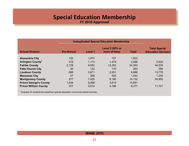### **Special Education Membership FY 2010 Approved**

<span id="page-21-0"></span>

|                                     |                   |         | <b>Unduplicated Special Education Membership</b> |              |                                                   |
|-------------------------------------|-------------------|---------|--------------------------------------------------|--------------|---------------------------------------------------|
| <b>School Division</b>              | <b>Pre-School</b> | Level 1 | Level 2 (50% or<br>more of time)                 | <b>Total</b> | <b>Total Special</b><br><b>Education Services</b> |
| <b>Alexandria City</b>              | 152               | 1,574   | 107                                              | 1,833        |                                                   |
| <b>Arlington County<sup>1</sup></b> | 316               | 1,173   | 1,479                                            | 2,968        | 5,620                                             |
| <b>Fairfax County</b>               | 2,128             | 9,952   | 12,283                                           | 24,363       | 44,029                                            |
| <b>Falls Church City</b>            | 20                | 133     | 110                                              | 263          | 390                                               |
| <b>Loudoun County</b>               | 666               | 3,671   | 2,551                                            | 6,888        | 13,776                                            |
| <b>Manassas City</b>                | 57                | 558     | 425                                              | 1,040        | 1,230                                             |
| <b>Montgomery County</b>            | 917               | 7,025   | 8,190                                            | 16,132       | 24,955                                            |
| <b>Prince George's County</b>       | 1,534             | 9,498   | 3,619                                            | 14,651       |                                                   |
| <b>Prince William County</b>        | 377               | 5,814   | 3,186                                            | 9,377        | 11,721                                            |

 $<sup>1</sup>$  Includes 24 students for preschool special education community-based services.</sup>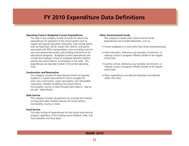### **FY 2010 Expenditure Data Definitions**

#### <span id="page-22-0"></span>**Operating Fund or Budgeted Current Expenditures**

The data in this category include all funds for day-to-day expenditures for operation of the school system such as regular and special education instruction; may include grants such as Head Start, NCLB, Impact Aid, Perkins, and grants associated with IDEA; transportation costs including costs for new and replacement buses; and building maintenance for educational programs. Budgeted current expenditures also include the employer's share of employee benefits whether paid by the school district, municipality, or the state. The expenditures are typically funded in the school operating fund.

#### **Construction and Renovation**

This category includes all expenditures (which are typically funded in a capital improvements fund or budget) for land, new construction, major renovations, and relocatable classrooms, whether funded by the school district, municipality, county, or state through bond sales or "pay-asyou-go" expenditures.

#### **Debt Service**

This category includes all payments for principal and interest on long-term debt whether paid by the school district, municipality, county, or state.

#### **Food Service**

This data include all expenditures for the school food services program regardless of the funding source (federal, state, and local subsidies and food sales).

#### **Other Governmental Funds**

This category includes other Governmental Funds expenditures not included elsewhere, such as:

- Grants budgeted in a fund other than those listed previously.
- Adult education, defined as any remedial, enrichment, or makeup course or program offered outside of the regular school year.
- Summer school, defined as any remedial, enrichment, or makeup course or program offered outside of the regular school year.
- Other expenditures not defined elsewhere and defined within the chart.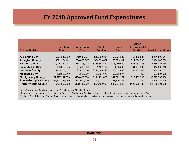### **FY 2010 Approved Fund Expenditures**

<span id="page-23-0"></span>

| <b>School Division</b>        | <b>Operating</b><br>Fund <sup>*</sup> | <b>Construction</b><br><b>Fund</b> | <b>Debt</b><br><b>Service</b> | Food<br><b>Fund</b> | <b>Other</b><br>Governmental<br>Funds** | <b>Total Expenditures</b> |
|-------------------------------|---------------------------------------|------------------------------------|-------------------------------|---------------------|-----------------------------------------|---------------------------|
| <b>Alexandria City</b>        | \$205,542,620                         | \$12,035,677                       | \$12,009,831                  | \$5,575,332         | \$6,432,584                             | \$241,596,044             |
| <b>Arlington County</b>       | \$371,254,161                         | \$30,666,047                       | \$34,093,067                  | \$6,699,592         | \$21,934,793                            | \$464,647,660             |
| <b>Fairfax County</b>         | \$2,206,711,201                       | \$164,313,232                      | \$165,347,511                 | \$75,950,649        | \$51,732,143                            | \$2,664,054,736           |
| <b>Falls Church City</b>      | \$36,882,575                          | \$1,568,000                        | \$1,187,467                   | \$943,500           | \$1,927,800                             | \$42,509,342              |
| <b>Loudoun County</b>         | \$729,366,457                         | \$1,400,000                        | \$111,485,143                 | \$23,021,430        | \$3,232,503                             | \$868,505,533             |
| <b>Manassas City</b>          | \$82,926,519                          | \$820,000                          | \$5,801,677                   | \$2,958,874         | \$0                                     | \$92,507,070              |
| <b>Montgomery County</b>      | \$2,227,112,370                       | \$166,883,000                      | \$111,292,490                 | \$47,821,972        | \$19,483,336                            | \$2,572,593,168           |
| <b>Prince George's County</b> | \$1,711,227,980                       | \$67,014,000                       | \$52,221,371                  | \$67,726,208        | \$0                                     | \$1,898,189,559           |
| <b>Prince William County</b>  | \$785,893,698                         | \$152,730,000                      | \$61,400,058                  | \$30,691,346        | \$105,079,436                           | \$1,135,794,538           |

Note: Governmental Funds only - excludes Proprietary and Fiduciary Funds.

\* Funds for entitlement grants are included in Operating Funds, even for districts that do not include those expenditures in the operating fund.

\*\*Includes Adult Education, Summer School, competitive grants and other. Numbers will not necessarily match the approved operating budget.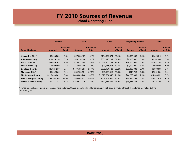# **FY 2010 Sources of Revenue**

**School Operating Fund**

<span id="page-24-0"></span>

|                               | Federal       |                            | <b>State</b>  |                            | Local           |                            | <b>Beginning Balance</b> |                            | <b>Other</b>  |                            |
|-------------------------------|---------------|----------------------------|---------------|----------------------------|-----------------|----------------------------|--------------------------|----------------------------|---------------|----------------------------|
| <b>School Division</b>        | Amount        | <b>Percent of</b><br>Total | <b>Amount</b> | <b>Percent of</b><br>Total | <b>Amount</b>   | <b>Percent</b><br>of Total | <b>Amount</b>            | <b>Percent</b><br>of Total | <b>Amount</b> | <b>Percent</b><br>of Total |
|                               |               |                            |               |                            |                 |                            |                          |                            |               |                            |
| Alexandria City *             | \$8,063,589   | 3.9%                       | \$27,008,107  | 13.1%                      | \$164,594,674   | 80.1%                      | \$4,355,938              | 2.1%                       | \$1,520,312   | 0.7%                       |
| <b>Arlington County*</b>      | \$11,819,330  | 3.2%                       | \$48,554,540  | 13.1%                      | \$305.918.291   | 82.4%                      | \$2,800,000              | 0.8%                       | \$2,162,000   | 0.6%                       |
| <b>Fairfax County</b>         | \$83,969,708  | 3.8%                       | \$416,437,548 | 18.9%                      | \$1,626,600,722 | 73.8%                      | \$28,000,000             | 1.3%                       | \$47,687,149  | 2.2%                       |
| <b>Falls Church City</b>      | \$999,600     | 2.7%                       | \$4,956,700   | 13.4%                      | \$29,136,275    | 79.0%                      | \$1,100,000              | 3.0%                       | \$690,000     | 1.9%                       |
| <b>Loudoun County</b>         | \$25,024,250  | 3.4%                       | \$177,788,087 | 24.4%                      | \$500,164,120   | 68.6%                      | \$20,000,000             | 2.7%                       | \$6,390,000   | 0.9%                       |
| Manassas City *               | \$5,682,352   | 6.1%                       | \$34,723,581  | 37.5%                      | \$49,523,010    | 53.5%                      | \$316,743                | 0.3%                       | \$2,261,384   | 2.4%                       |
| <b>Montgomery County</b>      | \$115,609,261 | 5.4%                       | \$440,089,248 | 20.5%                      | \$1,529,554,447 | 71.3%                      | \$44,200,000             | 2.1%                       | \$14,980,651  | 0.7%                       |
| <b>Prince George's County</b> | \$198,703,765 | 11.6%                      | \$866,808,937 | 50.7%                      | \$609,503,900   | 35.6%                      | \$17,396,462             | 1.0%                       | \$18,814,916  | 1.1%                       |
| <b>Prince William County</b>  | \$60,381,184  | 7.7%                       | \$360,513,219 | 45.9%                      | \$347,433,647   | 44.2%                      | \$14,238,348             | 1.8%                       | \$3,327,300   | 0.4%                       |

\* Funds for entitlement grants are included here under the School Operating Fund for consistency with other districts, although these funds are not part of the Operating Fund.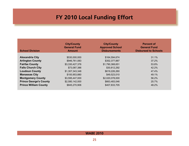# **FY 2010 Local Funding Effort**

| <b>School Division</b>        | <b>City/County</b><br><b>General Fund</b><br><b>Amount</b> | <b>City/County</b><br><b>Approved School</b><br><b>Disbursements</b> | <b>Percent of</b><br><b>General Fund</b><br><b>Disbursed to Schools</b> |
|-------------------------------|------------------------------------------------------------|----------------------------------------------------------------------|-------------------------------------------------------------------------|
| <b>Alexandria City</b>        | \$530,000,000                                              | \$164,594,674                                                        | 31.1%                                                                   |
| <b>Arlington County</b>       | \$946,761,083                                              | \$352,377,887                                                        | 37.2%                                                                   |
| <b>Fairfax County</b>         | \$3,330,427,376                                            | \$1,790,368,651                                                      | 53.8%                                                                   |
| <b>Falls Church City</b>      | \$73,087,386                                               | \$30,812,292                                                         | 42.2%                                                                   |
| <b>Loudoun County</b>         | \$1,307,343,348                                            | \$619,226,260                                                        | 47.4%                                                                   |
| <b>Manassas City</b>          | \$100,953,880                                              | \$49,523,010                                                         | 49.1%                                                                   |
| <b>Montgomery County</b>      | \$3,595,447,000                                            | \$2,020,078,000                                                      | 56.2%                                                                   |
| <b>Prince George's County</b> | \$2,580,142,000                                            | \$663,483,046                                                        | 25.7%                                                                   |
| <b>Prince William County</b>  | \$845,270,906                                              | \$407,833,705                                                        | 48.2%                                                                   |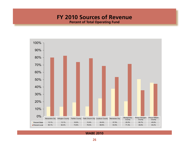### **FY 2010 Sources of Revenue**

**Percent of Total Operating Fund**

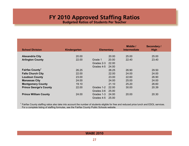### **FY 2010 Approved Staffing Ratios**

**Budgeted Ratios of Students Per Teacher**

<span id="page-27-0"></span>

| <b>School Division</b>        | Kindergarten | <b>Elementary</b> |       | Middle /<br><b>Intermediate</b> | <b>Secondary /</b><br><b>High</b> |
|-------------------------------|--------------|-------------------|-------|---------------------------------|-----------------------------------|
| <b>Alexandria City</b>        | 20.00        |                   | 20.00 | 25.00                           | 25,00                             |
|                               |              |                   |       |                                 |                                   |
| <b>Arlington County</b>       | 22.00        | Grade 1           | 20.00 | 22.40                           | 23.40                             |
|                               |              | Grades 2-3        | 22.00 |                                 |                                   |
|                               |              | Grades 4-5        | 24.00 |                                 |                                   |
| Fairfax County <sup>1</sup>   | 26.25        |                   | 26.25 | 26.90                           | 29.50                             |
| <b>Falls Church City</b>      | 22.00        |                   | 22.00 | 24.00                           | 24.00                             |
| <b>Loudoun County</b>         | 23.00        |                   | 23.00 | 22.60                           | 26.90                             |
| <b>Manassas City</b>          | 24.00        |                   | 24.00 | 25.00                           | 24.00                             |
| <b>Montgomery County</b>      | 19.10        |                   | 21.10 | 25.20                           | 26.60                             |
| <b>Prince George's County</b> | 22.00        | Grades 1-2        | 22.00 | 30.00                           | 20.39                             |
|                               |              | Grades 3-6        | 25.00 |                                 |                                   |
| <b>Prince William County</b>  | 24.00        | Grades 1-3        | 24.00 | 20.00                           | 20.30                             |
|                               |              | Grades 4-5        | 25.00 |                                 |                                   |

<sup>1</sup> Fairfax County staffing ratios also take into account the number of students eligible for free and reduced price lunch and ESOL services. For a complete listing of staffing formulas, see the Fairfax County Public Schools website.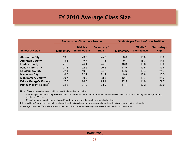### **FY 2010 Average Class Size**

<span id="page-28-0"></span>

|                               |                   | <b>Students per Classroom Teacher</b> |                                   | <b>Students per Teacher-Scale Position</b> |                                 |                                   |  |
|-------------------------------|-------------------|---------------------------------------|-----------------------------------|--------------------------------------------|---------------------------------|-----------------------------------|--|
| <b>School Division</b>        | <b>Elementary</b> | Middle /<br>Intermediate              | <b>Secondary /</b><br><b>High</b> | <b>Elementary</b>                          | Middle /<br><b>Intermediate</b> | <b>Secondary /</b><br><b>High</b> |  |
|                               |                   |                                       |                                   |                                            |                                 |                                   |  |
| <b>Alexandria City</b>        | 19.8              | 23.7                                  | 25.0                              | 8.6                                        | 16.0                            | 15.0                              |  |
| <b>Arlington County</b>       | 18.6              | 19.7                                  | 17.6                              | 9.7                                        | 15.7                            | 14.8                              |  |
| <b>Fairfax County</b>         | 21.2              | 24.1                                  | 24.9                              | 13.3                                       | 18.6                            | 19.0                              |  |
| <b>Falls Church City</b>      | 21.1              | 22.5                                  | 20.6                              | 11.9                                       | 17.5                            | 17.6                              |  |
| <b>Loudoun County</b>         | 22.4              | 19.8                                  | 24.8                              | 14.6                                       | 16.4                            | 21.4                              |  |
| <b>Manassas City</b>          | 16.0              | 22.4                                  | 21.4                              | 9.8                                        | 18.8                            | 18.5                              |  |
| <b>Montgomery County</b>      | 20.7              | 30.9                                  | 28.5                              | 12.1                                       | 19.7                            | 21.3                              |  |
| <b>Prince George's County</b> | 17.5              | 20.3                                  | 25.1                              | 12.5                                       | 11.0                            | 22.7                              |  |
| <b>Prince William County</b>  | 22.3              | 31.0                                  | 28.9                              | 14.1                                       | 20.2                            | 20.9                              |  |

Note: Classroom teachers are positions used to determine class size.

Students per teacher-scale positions include classroom teachers and other teachers such as ESOL/ESL, librarians, reading, coaches, mentors, music, art, PE, etc.

Excludes teachers and students in pre-K, kindergarten, and self-contained special education.

<sup>1</sup> Prince William County does not include alternative education classroom teachers or alternative education students in the calculation of average class size. Typically, student to teacher ratios in alternative settings are lower than in traditional classrooms.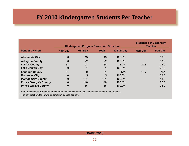### <span id="page-29-0"></span>**FY 2010 Kindergarten Students Per Teacher**

|                               |                 | Kindergarten Program Classroom Structure |              | <b>Students per Classroom</b><br><b>Teacher</b> |           |                 |
|-------------------------------|-----------------|------------------------------------------|--------------|-------------------------------------------------|-----------|-----------------|
| <b>School Division</b>        | <b>Half-Day</b> | <b>Full-Day</b>                          | <b>Total</b> | % Full-Day                                      | Half-Day* | <b>Full-Day</b> |
| <b>Alexandria City</b>        | 0               | 13                                       | 13           | 100.0%                                          |           | 19.7            |
| <b>Arlington County</b>       | 0               | 22                                       | 22           | 100.0%                                          |           | 18.6            |
| <b>Fairfax County</b>         | 37              | 101                                      | 138          | 73.2%                                           | 22.8      | 22.0            |
| <b>Falls Church City</b>      | $\mathbf 0$     |                                          |              | 100.0%                                          |           | 22.0            |
| <b>Loudoun County</b>         | 51              | $\overline{0}$                           | 51           | N/A                                             | 19.7      | N/A             |
| <b>Manassas City</b>          | 0               | 5                                        | 5            | 100.0%                                          |           | 22.5            |
| <b>Montgomery County</b>      | $\overline{0}$  | 131                                      | 131          | 100.0%                                          |           | 18.2            |
| <b>Prince George's County</b> | 0               | 148                                      | 148          | 100.0%                                          |           | 22.5            |
| <b>Prince William County</b>  | 0               | 55                                       | 55           | 100.0%                                          |           | 24.2            |

Note: Excludes pre-K teachers and students and self-contained special education teachers and students.

Half-day teachers teach two kindergarten classes per day.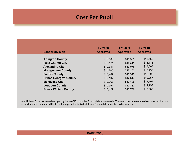### **Cost Per Pupil**

<span id="page-30-0"></span>

| <b>School Division</b>        | <b>FY 2008</b><br><b>Approved</b> | <b>FY 2009</b><br><b>Approved</b> | <b>FY 2010</b><br><b>Approved</b> |
|-------------------------------|-----------------------------------|-----------------------------------|-----------------------------------|
| <b>Arlington County</b>       | \$18,563                          | \$19,538                          | \$18,569                          |
| <b>Falls Church City</b>      | \$18,474                          | \$18,311                          | \$18,116                          |
| <b>Alexandria City</b>        | \$19,341                          | \$19,078                          | \$18,003                          |
| <b>Montgomery County</b>      | \$14,705                          | \$15,252                          | \$15,490                          |
| <b>Fairfax County</b>         | \$13,407                          | \$13,340                          | \$12,898                          |
| <b>Prince George's County</b> | \$12,107                          | \$12,517                          | \$12,267                          |
| <b>Manassas City</b>          | \$12,067                          | \$13,105                          | \$12,192                          |
| <b>Loudoun County</b>         | \$12,751                          | \$12,780                          | \$11,997                          |
| <b>Prince William County</b>  | \$10,429                          | \$10,776                          | \$10,383                          |
|                               |                                   |                                   |                                   |

Note: Uniform formulas were developed by the WABE committee for consistency areawide. These numbers are comparable; however, the cost per pupil reported here may differ from that reported in individual districts' budget documents or other reports.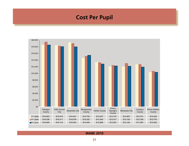### **Cost Per Pupil**

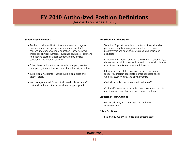### <span id="page-32-0"></span>**FY 2010 Authorized Position Definitions**

**(for charts on pages 33 - 36)**

#### **School-Based Positions**

- Teachers: Include all instructors under contract, regular classroom teachers, special education teachers, ESOL, coaches, mentors, vocational education teachers, speech therapists, physical therapists, guidance counselors, librarians, homebound teachers under contract, music, physical education, and itinerant teachers.
- School-Based Administrators: Include principals, assistant principals, guidance directors, and student activity directors.
- Instructional Assistants: Include instructional aides and teacher aides.
- Nonmanagement/All Others: Include school clerical staff, custodial staff, and other school-based support positions.

#### **Nonschool-Based Positions**

- Technical /Support: Include accountants, financial analysts, personnel analysts, management analysts, computer programmers and analysts, professional engineers, and architects.
- Management: Include directors, coordinators, senior analysts, department administrators and supervisors, special assistants, executive assistants, and area administrators.
- Educational Specialists: Examples include curriculum specialists, program specialists, nonschool-based social workers, psychologists, and psychometrists.
- Clerical: Include nonschool-based clerical staff.
- Custodial/Maintenance: Include nonschool-based custodial, maintenance, print shop, and warehouse employees.

#### **Leadership Team/Cabinet**

• Division, deputy, associate, assistant, and area superintendents.

#### **Other Positions**

• Bus drivers, bus drivers' aides, and cafeteria staff.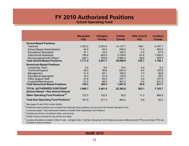# **FY 2010 Authorized Positions**

**School Operating Fund**

<span id="page-33-0"></span>

|                                                                                    | <b>Alexandria</b> | <b>Arlington</b> | Fairfax       | <b>Falls Church</b> | Loudoun       |
|------------------------------------------------------------------------------------|-------------------|------------------|---------------|---------------------|---------------|
|                                                                                    | <b>City</b>       | <b>County</b>    | <b>County</b> | <b>City</b>         | <b>County</b> |
| <b>School-Based Positions</b>                                                      |                   |                  |               |                     |               |
| Teachers                                                                           | 1,203.2           | 2,024.0          | 14, 147. 7    | 196.1               | 4,787.1       |
| School-Based Administrators <sup>1</sup>                                           | 44.5              | 95.5             | 636.0         | 11.2                | 260.0         |
| <b>Educational Specialists</b>                                                     | 47.1              | 33.8             | 333.0         | 5.4                 | 97.5          |
| <b>Instructional Assistants</b>                                                    | 190.6             | 463.0            | 2,708.6       | 61.6                | 1,092.2       |
| Nonmanagement/All Others'                                                          | 226.1             | 425.6            | 2,863.5       | 58.8                | 929.3         |
| <b>Total School-Based Positions</b>                                                | 1,711.5           | 3,041.7          | 20,688.8      | 333.1               | 7,166.1       |
| <b>Nonschool-Based Positions</b>                                                   |                   |                  |               |                     |               |
| Leadership Team                                                                    | 5.0               | 9.0              | 19.0          | 3.0                 | 9.0           |
| Technical/Support                                                                  | 36.0              | 96.8             | 624.4         | 8.4                 | 120.8         |
| Management                                                                         | 41.0              | 52.7             | 160.0         | 7.0                 | 99.8          |
| <b>Educational Specialists</b>                                                     | 14.3              | 51.8             | 135.5         | 3.1                 | 39.0          |
| <b>Office Support Staff</b>                                                        | 37.9              | 62.5             | 257.1         | 3.0                 | 147.6         |
| Custodial/Maintenance                                                              | 21.0              | 86.5             | 501.0         | 5.5                 | 201.5         |
| <b>Total Nonschool-Based Positions</b>                                             | 155.2             | 359.3            | 1,697.0       | 30.0                | 617.7         |
| <b>TOTAL AUTHORIZED POSITIONS</b> <sup>2</sup>                                     | 1,866.7           | 3,401.0          | 22,385.8      | 363.1               | 7,783.7       |
| (School Based + Non-School Based)<br>Other Operating Fund Positions <sup>3,4</sup> | 123.0             | 152.5            | 35.0          | 11.3                | 866.0         |
| Total Non-Operating Fund Positions <sup>o</sup>                                    | 181.8             | 217.3            | 460.2         | 9.6                 | 84.3          |

 $<sup>1</sup>$  See pages 35 and 36 for further details.</sup>

 $^2$  Entitlement grant positions are included here although these positions are not part of the School Operating Fund.

In previous years, Total Authorized Positions included Other Operating Fund Positions.

 $3$  Includes bus drivers, bus drivers' aides, and security.

<sup>4</sup> Fairfax County contracts for bus drivers and aides.

5 Includes all positions funded in Other Funds. Arlington Note: Total Non-Operating Fund Positions exclude entitlement grant FTEs since these FTEs are included in above numbers.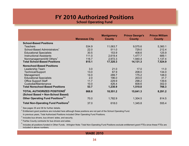# **FY 2010 Authorized Positions**

**School Operating Fund**

|                                                                              | <b>Manassas City</b> | <b>Montgomery</b><br><b>County</b> | <b>Prince George's</b><br><b>County</b> | <b>Prince William</b> |
|------------------------------------------------------------------------------|----------------------|------------------------------------|-----------------------------------------|-----------------------|
|                                                                              |                      |                                    |                                         | <b>County</b>         |
| <b>School-Based Positions</b>                                                |                      |                                    |                                         |                       |
| <b>Teachers</b>                                                              | 534.9                | 11,063.7                           | 9,575.6                                 | 5,360.1               |
| School-Based Administrators <sup>1</sup>                                     | 22.0                 | 511.0                              | 729.0                                   | 212.4                 |
| <b>Educational Specialists</b>                                               | 30.5                 | 153.9                              | 408.6                                   | 125.9                 |
| <b>Instructional Assistants</b>                                              | 111.0                | 2,619.4                            | 1,477.7                                 | 689.1                 |
| Nonmanagement/All Others <sup>1</sup>                                        | 116.7                | 2,972.3                            | 1,940.4                                 | 1,137.4               |
| <b>Total School-Based Positions</b>                                          | 815.1                | 17,320.3                           | 14,131.3                                | 7,524.9               |
| <b>Nonschool-Based Positions</b>                                             |                      |                                    |                                         |                       |
| Leadership Team                                                              | 3.0                  | 21.0                               | 17.0                                    | 11.0                  |
| <b>Technical/Support</b>                                                     | 13.0                 | 67.9                               | 208.0                                   | 134.0                 |
| Management                                                                   | 14.0                 | 289.7                              | 175.2                                   | 148.0                 |
| <b>Educational Specialists</b>                                               | 2.0                  | 196.0                              | 203.0                                   | 31.7                  |
| <b>Office Support Staff</b>                                                  | 11.7                 | 229.9                              | 298.2                                   | 139.6                 |
| Custodial/Maintenance                                                        | 10.0                 | 426.4                              | 608.6                                   | 302.0                 |
| <b>Total Nonschool-Based Positions</b>                                       | 53.7                 | 1,230.9                            | 1,510.0                                 | 766.3                 |
| TOTAL AUTHORIZED POSITIONS <sup>2</sup><br>(School Based + Non-School Based) | 868.8                | 18,551.2                           | 15,641.3                                | 8,291.2               |
| Other Operating Fund Positions <sup>3,4</sup>                                | 70.0                 | 1,782.9                            | 1,304.5                                 | 814.5                 |
| <b>Total Non-Operating Fund Positions</b> <sup>5</sup>                       | 37.0                 | 618.0                              | 1,345.8                                 | 555.4                 |

 $<sup>1</sup>$  See pages 35 and 36 for further details.</sup>

 $2$  Entitlement grant positions are included here although these positions are not part of the School Operating Fund.

In previous years, Total Authorized Positions included Other Operating Fund Positions.

 $3$  Includes bus drivers, bus drivers' aides, and security.

<sup>4</sup> Fairfax County contracts for bus drivers and aides.

<sup>5</sup> Includes all positions funded in Other Funds. Arlington Note: Total Non-Operating Fund Positions exclude entitlement grant FTEs since these FTEs are included in above numbers.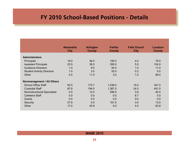# <span id="page-35-0"></span>**FY 2010 School-Based Positions - Details**

|                                     | <b>Alexandria</b> | <b>Arlington</b> | Fairfax       | <b>Falls Church</b> | Loudoun       |
|-------------------------------------|-------------------|------------------|---------------|---------------------|---------------|
|                                     | <b>City</b>       | <b>County</b>    | <b>County</b> | <b>City</b>         | <b>County</b> |
| <b>Administrators</b>               |                   |                  |               |                     |               |
| Principals                          | 19.0              | 36.0             | 195.0         | 4.0                 | 79.0          |
| <b>Assistant Principals</b>         | 23.5              | 36.0             | 359.0         | 5.0                 | 104.0         |
| <b>Guidance Directors</b>           | 1.0               | 9.0              | 54.0          | 1.0                 | 11.0          |
| <b>Student Activity Directors</b>   | 1.0               | 3.0              | 25.0          | 0.2                 | 0.0           |
| Other                               | 0.0               | 11.5             | 3.0           | 1.0                 | 66.0          |
| Nonmanagement / All Others          |                   |                  |               |                     |               |
| <b>School Office Staff</b>          | 93.5              | 172.7            | 1,038.0       | 15.0                | 341.0         |
| <b>Custodial Staff</b>              | 87.8              | 194.0            | 1,367.5       | 24.5                | 451.5         |
| <b>Noninstructional Specialists</b> | 0.0               | 13.0             | 296.5         | 3.6                 | 40.0          |
| Cafeteria Staff                     | 0.0               | 0.0              | 0.0           | 8.7                 | 0.0           |
| Grants                              | 0.0               | 0.0              | 0.0           | 0.0                 | 0.0           |
| Security                            | 27.8              | 0.0              | 161.5         | 3.0                 | 13.0          |
| Other                               | 17.0              | 45.9             | 0.0           | 4.0                 | 83.8          |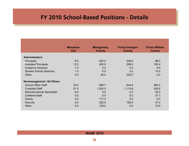### **FY 2010 School-Based Positions - Details**

|                                     | <b>Manassas</b><br><b>City</b> | <b>Montgomery</b><br><b>County</b> | <b>Prince George's</b><br><b>County</b> | <b>Prince William</b><br><b>County</b> |
|-------------------------------------|--------------------------------|------------------------------------|-----------------------------------------|----------------------------------------|
|                                     |                                |                                    |                                         |                                        |
| <b>Administrators</b>               |                                |                                    |                                         |                                        |
| <b>Principals</b>                   | 8.0                            | 202.0                              | 209.0                                   | 88.0                                   |
| <b>Assistant Principals</b>         | 12.0                           | 283.0                              | 298.0                                   | 105.4                                  |
| <b>Guidance Directors</b>           | 1.0                            | 0.0                                | 0.0                                     | 9.0                                    |
| <b>Student Activity Directors</b>   | 1.0                            | 0.0                                | 0.0                                     | 10.0                                   |
| Other                               | 0.0                            | 26.0                               | 222.0                                   | 0.0                                    |
| Nonmanagement / All Others          |                                |                                    |                                         |                                        |
| <b>School Office Staff</b>          | 45.0                           | 689.7                              | 644.8                                   | 482.0                                  |
| <b>Custodial Staff</b>              | 51.5                           | 1,243.3                            | 1,113.6                                 | 436.8                                  |
| <b>Noninstructional Specialists</b> | 6.0                            | 0.0                                | 0.0                                     | 52.0                                   |
| Cafeteria Staff                     | 0.0                            | 0.0                                | 0.0                                     | 37.1                                   |
| Grants                              | 0.0                            | 717.3                              | 0.0                                     | 0.0                                    |
| Security                            | 5.0                            | 222.0                              | 182.0                                   | 57.0                                   |
| Other                               | 9.2                            | 100.0                              | 0.0                                     | 72.5                                   |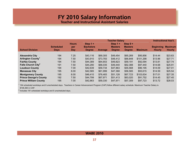### **FY 2010 Salary Information**

**Teacher and Instructional Assistant Salaries**

<span id="page-37-0"></span>

|                                      |                                 |                            | <b>Teacher Salary</b>                           |                |                                               |                                               | <b>Instructional Ass't.</b> |                                   |                                 |
|--------------------------------------|---------------------------------|----------------------------|-------------------------------------------------|----------------|-----------------------------------------------|-----------------------------------------------|-----------------------------|-----------------------------------|---------------------------------|
| <b>School Division</b>               | <b>Scheduled</b><br><b>Days</b> | <b>Hours</b><br>per<br>Day | Step $1 +$<br><b>Bachelors</b><br><b>Degree</b> | <b>Average</b> | Step $1 +$<br><b>Masters</b><br><b>Degree</b> | Step $9 +$<br><b>Masters</b><br><b>Degree</b> | <b>Maximum</b>              | <b>Beainning</b><br><b>Hourly</b> | <b>Maximum</b><br><b>Hourly</b> |
|                                      |                                 |                            |                                                 |                |                                               |                                               |                             |                                   |                                 |
| <b>Alexandria City</b>               | 194                             | 7.25                       | \$43,116                                        | \$69,305       | \$49,454                                      | \$65,269                                      | \$95,856                    | \$14.44                           | \$23.63                         |
| <b>Arlington County</b> <sup>1</sup> | 194                             | 7.50                       | \$43,910                                        | \$73,783       | \$48,412                                      | \$66,848                                      | \$101,298                   | \$13.96                           | \$27.71                         |
| <b>Fairfax County</b>                | 194                             | 7.50                       | \$44,389                                        | \$64,653       | \$49,823                                      | \$59,191                                      | \$92,094                    | \$13.81                           | \$27.74                         |
| Falls Church City <sup>2</sup>       | 191                             | 7.50                       | \$44,290                                        | \$66,035       | \$49,440                                      | \$62,388                                      | \$97,440                    | \$14.68                           | \$25.91                         |
| <b>Loudoun County</b>                | 194                             | 7.00                       | \$42,639                                        | \$59,734       | \$47,863                                      | \$55,568                                      | \$96,195                    | \$14.09                           | \$27.01                         |
| <b>Manassas City</b>                 | 195                             | 8.00                       | \$42,585                                        | \$61,999       | \$47,368                                      | \$56,585                                      | \$93,615                    | \$14.59                           | \$25.54                         |
| <b>Montgomery County</b>             | 195                             | 8.00                       | \$46,410                                        | \$76,483       | \$51,128                                      | \$67,723                                      | \$103,634                   | \$17.01                           | \$27.35                         |
| <b>Prince George's County</b>        | 192                             | 7.50                       | \$44,799                                        | \$67.971       | \$51.413                                      | \$63,020                                      | \$91,752                    | \$14.45                           | \$27.40                         |
| <b>Prince William County</b>         | 195                             | 7.00                       | \$42,863                                        | \$59,330       | \$47,971                                      | \$57,309                                      | \$97,723                    | \$13.72                           | \$28.03                         |

 $<sup>1</sup>$  194 scheduled workdays and 6 unscheduled days. Teachers in Career Advancement Program (CAP) follow different salary schedule. Maximum Teacher Salary is</sup> \$106,360 in CAP.

 $2$  Includes 191 scheduled workdays and 9 unscheduled days.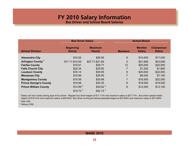# **FY 2010 Salary Information**

**Bus Driver and School Board Salaries**

|                                     | <b>Bus Driver Salary</b>          |                                 | <b>School Board</b> |                                |                                     |  |
|-------------------------------------|-----------------------------------|---------------------------------|---------------------|--------------------------------|-------------------------------------|--|
| <b>School Division</b>              | <b>Beginning</b><br><b>Hourly</b> | <b>Maximum</b><br><b>Hourly</b> | <b>Members</b>      | <b>Member</b><br><b>Salary</b> | <b>Chairperson</b><br><b>Salary</b> |  |
| <b>Alexandria City</b>              | \$16.25                           | \$26.59                         | 9                   | \$15,000                       | \$17,000                            |  |
| <b>Arlington County<sup>1</sup></b> | \$17.11-\$19.59                   | \$27.71-\$31.69                 | 5                   | \$21,608                       | \$23,608                            |  |
| <b>Fairfax County</b>               | \$16.91                           | \$29.77                         | 12                  | \$20,000                       | \$22,000                            |  |
| <b>Falls Church City</b>            | \$20.34                           | \$35.90                         | $\overline{7}$      | \$1,200                        | \$1,800                             |  |
| <b>Loudoun County</b>               | \$16.14                           | \$30.95                         | 9                   | \$20,000                       | \$22,000                            |  |
| <b>Manassas City</b>                | \$16.89                           | \$29.56                         | $\overline{7}$      | \$6,000                        | \$7,100                             |  |
| <b>Montgomery County</b>            | \$16.36                           | \$25.96                         | $\overline{7}$      | \$18,500                       | \$22,500                            |  |
| <b>Prince George's County</b>       | \$16.68                           | \$30.35                         | 9                   | \$18,000                       | \$19,000                            |  |
| <b>Prince William County</b>        | \$14.99 <sup>2</sup>              | $$30.62$ <sup>2</sup>           | 8                   | \$12,000                       | \$13,100                            |  |
|                                     | $$15.73$ <sup>3</sup>             | \$32.15 <sup>3</sup>            |                     |                                |                                     |  |

1 Salary per hour varies among type of bus driver. Regular bus driver begins at \$17.11/hr and maximum salary is \$27.71/hr. Bus driver special needs begins at \$18.31/hr and maximum salary is \$29.62/hr. Bus driver on-the-job training specialist begins at \$19.59/hr and maximum salary is \$31.69/hr.

<sup>2</sup> With VRS

<sup>3</sup> Without VRS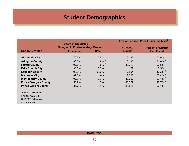# **Student Demographics**

<span id="page-39-0"></span>

|                               |                                  |                      |                 | Free or Reduced Price Lunch Eligibility <sup>2</sup> |
|-------------------------------|----------------------------------|----------------------|-----------------|------------------------------------------------------|
|                               | <b>Percent of Graduates</b>      |                      |                 |                                                      |
|                               | <b>Going on to Postsecondary</b> | <b>Dropout</b>       | <b>Students</b> | <b>Percent of District</b>                           |
| <b>School Division</b>        | Education <sup>1</sup>           | Rate <sup>1</sup>    | <b>Eligible</b> | <b>Enrollment</b>                                    |
|                               |                                  |                      |                 |                                                      |
| <b>Alexandria City</b>        | 76.7%                            | 2.5%                 | 6,126           | 53.0%                                                |
| <b>Arlington County</b>       | 88.5%                            | $1.8\%$ <sup>3</sup> | 6,195           | $31.6\%$ <sup>4</sup>                                |
| <b>Fairfax County</b>         | $92.6\%$ <sup>3</sup>            | $1.5\%$ <sup>3</sup> | 39,019          | 22.5%                                                |
| <b>Falls Church City</b>      | 98.0%                            | 0.0%                 | 152             | 7.5%                                                 |
| <b>Loudoun County</b>         | 93.2%                            | 0.96%                | 7,594           | $13.3\%$ <sup>4</sup>                                |
| <b>Manassas City</b>          | 82.0%                            | n/a                  | 2,320           | 35.4% $4$                                            |
| <b>Montgomery County</b>      | 92.9%                            | 2.7%                 | 37,692          | $27.1\%$ <sup>4</sup>                                |
| <b>Prince George's County</b> | 56.7%                            | 1.3%                 | 60,677          | 46.7% <sup>4</sup>                                   |
| <b>Prince William County</b>  | 86.7%                            | 1.4%                 | 21,815          | 29.1%                                                |
| $1$ 2008-2009 School Year.    |                                  |                      |                 |                                                      |
| $2$ FY 2010 Approved.         |                                  |                      |                 |                                                      |
| $3$ 2007-2008 School Year.    |                                  |                      |                 |                                                      |
| $4$ FY 2009 Actual.           |                                  |                      |                 |                                                      |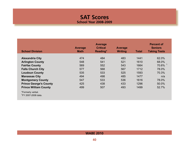### **SAT Scores School Year 2008-2009**

<span id="page-40-0"></span>

| <b>School Division</b>                               | <b>Average</b><br><b>Math</b> | <b>Average</b><br><b>Critical</b><br>Reading* | Average<br><b>Writing</b> | <b>Total</b> | <b>Percent of</b><br><b>Seniors</b><br><b>Taking Tests</b> |
|------------------------------------------------------|-------------------------------|-----------------------------------------------|---------------------------|--------------|------------------------------------------------------------|
|                                                      |                               |                                               |                           |              |                                                            |
| <b>Alexandria City</b>                               | 474                           | 484                                           | 483                       | 1441         | 62.0%                                                      |
| <b>Arlington County</b>                              | 548                           | 541                                           | 521                       | 1610         | 68.0%                                                      |
| <b>Fairfax County</b>                                | 569                           | 552                                           | 543                       | 1664         | $70.6\%$ <sup>1</sup>                                      |
| <b>Falls Church City</b>                             | 577                           | 568                                           | 567                       | 1712         | 78.0%                                                      |
| <b>Loudoun County</b>                                | 535                           | 533                                           | 525                       | 1593         | 70.3%                                                      |
| <b>Manassas City</b>                                 | 494                           | 498                                           | 485                       | 1477         | n/a                                                        |
| <b>Montgomery County</b>                             | 547                           | 533                                           | 536                       | 1616         | 78.0%                                                      |
| <b>Prince George's County</b>                        | 425                           | 438                                           | 433                       | 1296         | 50.0%                                                      |
| <b>Prince William County</b>                         | 499                           | 507                                           | 493                       | 1499         | 52.7%                                                      |
| *Formerly verbal.<br><sup>1</sup> FY 2007-2008 data. |                               |                                               |                           |              |                                                            |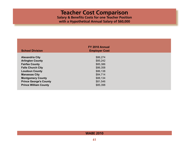### **Teacher Cost Comparison Salary & Benefits Costs for one Teacher Position with a Hypothetical Annual Salary of \$60,000**

<span id="page-41-0"></span>

|                               | FY 2010 Annual       |  |
|-------------------------------|----------------------|--|
| <b>School Division</b>        | <b>Employer Cost</b> |  |
| <b>Alexandria City</b>        | \$86,274             |  |
| <b>Arlington County</b>       | \$85,242             |  |
| <b>Fairfax County</b>         | \$85,386             |  |
| <b>Falls Church City</b>      | \$86,358             |  |
| <b>Loudoun County</b>         | \$86,138             |  |
| <b>Manassas City</b>          | \$84,714             |  |
| <b>Montgomery County</b>      | \$88,134             |  |
| <b>Prince George's County</b> | \$81,546             |  |
| <b>Prince William County</b>  | \$85,398             |  |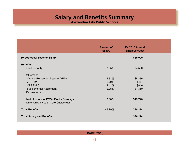**Alexandria City Public Schools**

<span id="page-42-0"></span>

|                                                                                 | <b>Percent of</b><br><b>Salary</b> | FY 2010 Annual<br><b>Employer Cost</b> |  |
|---------------------------------------------------------------------------------|------------------------------------|----------------------------------------|--|
| <b>Hypothetical Teacher Salary</b>                                              |                                    | \$60,000                               |  |
| <b>Benefits</b>                                                                 |                                    |                                        |  |
| <b>Social Security</b>                                                          | 7.65%                              | \$4,590                                |  |
| Retirement                                                                      |                                    |                                        |  |
| Virginia Retirement System (VRS)                                                | 13.81%                             | \$8,286                                |  |
| <b>VRS Life</b>                                                                 | 0.79%                              | \$474                                  |  |
| <b>VRS RHIC</b>                                                                 | 1.41%                              | \$846                                  |  |
| <b>Supplemental Retirement</b>                                                  | 2.25%                              | \$1,350                                |  |
| Life Insurance                                                                  |                                    |                                        |  |
| Health Insurance: POS - Family Coverage<br>Name: United Health Care/Choice Plus | 17.88%                             | \$10,728                               |  |
| <b>Total Benefits</b>                                                           | 43.79%                             | \$26,274                               |  |
| <b>Total Salary and Benefits</b>                                                |                                    | \$86,274                               |  |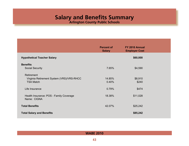**Arlington County Public Schools**

<span id="page-43-0"></span>

|                                                                             | <b>Percent of</b><br><b>Salary</b> | FY 2010 Annual<br><b>Employer Cost</b> |  |
|-----------------------------------------------------------------------------|------------------------------------|----------------------------------------|--|
| <b>Hypothetical Teacher Salary</b>                                          |                                    | \$60,000                               |  |
| <b>Benefits</b>                                                             |                                    |                                        |  |
| <b>Social Security</b>                                                      | 7.65%                              | \$4,590                                |  |
| Retirement<br>Virginia Retirement System (VRS)/VRS-RHCC<br><b>TSA Match</b> | 14.85%<br>0.40%                    | \$8,910<br>\$240                       |  |
| Life Insurance                                                              | 0.79%                              | \$474                                  |  |
| Health Insurance: POS - Family Coverage<br>Name: CIGNA                      | 18.38%                             | \$11,028                               |  |
| <b>Total Benefits</b>                                                       | 42.07%                             | \$25,242                               |  |
| <b>Total Salary and Benefits</b>                                            |                                    | \$85,242                               |  |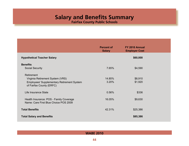**Fairfax County Public Schools**

<span id="page-44-0"></span>

|                                                                                                                                 | <b>Percent of</b><br><b>Salary</b> | FY 2010 Annual<br><b>Employer Cost</b> |  |
|---------------------------------------------------------------------------------------------------------------------------------|------------------------------------|----------------------------------------|--|
| <b>Hypothetical Teacher Salary</b>                                                                                              |                                    | \$60,000                               |  |
| <b>Benefits</b><br><b>Social Security</b>                                                                                       | 7.65%                              | \$4,590                                |  |
| Retirement<br>Virginia Retirement System (VRS)<br><b>Employees' Supplementary Retirement System</b><br>of Fairfax County (ERFC) | 14.85%<br>3.20%                    | \$8,910<br>\$1,920                     |  |
| Life Insurance State                                                                                                            | 0.56%                              | \$336                                  |  |
| Health Insurance: POS - Family Coverage<br>Name: Care First Blue Choice POS 2009                                                | 16.05%                             | \$9,630                                |  |
| <b>Total Benefits</b>                                                                                                           | 42.31%                             | \$25,386                               |  |
| <b>Total Salary and Benefits</b>                                                                                                |                                    | \$85,386                               |  |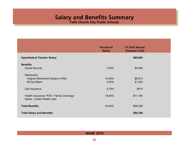**Falls Church City Public Schools**

<span id="page-45-0"></span>

|                                                                     | <b>Percent of</b><br><b>Salary</b> | FY 2010 Annual<br><b>Employer Cost</b> |  |
|---------------------------------------------------------------------|------------------------------------|----------------------------------------|--|
| <b>Hypothetical Teacher Salary</b>                                  |                                    | \$60,000                               |  |
| <b>Benefits</b>                                                     |                                    |                                        |  |
| <b>Social Security</b>                                              | 7.65%                              | \$4,590                                |  |
| Retirement                                                          |                                    |                                        |  |
| Virginia Retirement System (VRS)                                    | 14.85%                             | \$8,910                                |  |
| $401(a)$ Match                                                      | 2.00%                              | \$1,200                                |  |
| Life Insurance                                                      | 0.79%                              | \$474                                  |  |
| Health Insurance: POS - Family Coverage<br>Name: United Health Care | 18.64%                             | \$11,184                               |  |
| <b>Total Benefits</b>                                               | 43.93%                             | \$26,358                               |  |
| <b>Total Salary and Benefits</b>                                    |                                    | \$86,358                               |  |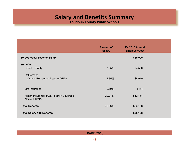**Loudoun County Public Schools**

<span id="page-46-0"></span>

|                                                        | <b>Percent of</b><br><b>Salary</b> | FY 2010 Annual<br><b>Employer Cost</b> |  |
|--------------------------------------------------------|------------------------------------|----------------------------------------|--|
| <b>Hypothetical Teacher Salary</b>                     |                                    | \$60,000                               |  |
| <b>Benefits</b><br><b>Social Security</b>              | 7.65%                              | \$4,590                                |  |
| Retirement<br>Virginia Retirement System (VRS)         | 14.85%                             | \$8,910                                |  |
| Life Insurance                                         | 0.79%                              | \$474                                  |  |
| Health Insurance: POS - Family Coverage<br>Name: CIGNA | 20.27%                             | \$12,164                               |  |
| <b>Total Benefits</b>                                  | 43.56%                             | \$26,138                               |  |
| <b>Total Salary and Benefits</b>                       |                                    | \$86,138                               |  |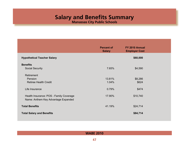**Manassas City Public Schools**

<span id="page-47-0"></span>

|                                         | <b>Percent of</b><br><b>Salary</b> | FY 2010 Annual<br><b>Employer Cost</b> |  |
|-----------------------------------------|------------------------------------|----------------------------------------|--|
| <b>Hypothetical Teacher Salary</b>      |                                    | \$60,000                               |  |
| <b>Benefits</b>                         |                                    |                                        |  |
| <b>Social Security</b>                  | 7.65%                              | \$4,590                                |  |
| Retirement                              |                                    |                                        |  |
| Pension                                 | 13.81%                             | \$8,286                                |  |
| <b>Retiree Health Credit</b>            | 1.04%                              | \$624                                  |  |
| Life Insurance                          | 0.79%                              | \$474                                  |  |
| Health Insurance: POS - Family Coverage | 17.90%                             | \$10,740                               |  |
| Name: Anthem Key Advantage Expanded     |                                    |                                        |  |
| <b>Total Benefits</b>                   | 41.19%                             | \$24,714                               |  |
| <b>Total Salary and Benefits</b>        |                                    | \$84,714                               |  |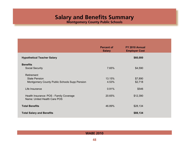**Montgomery County Public Schools**

<span id="page-48-0"></span>

|                                                                         | <b>Percent of</b><br><b>Salary</b> | FY 2010 Annual<br><b>Employer Cost</b> |  |
|-------------------------------------------------------------------------|------------------------------------|----------------------------------------|--|
| <b>Hypothetical Teacher Salary</b>                                      |                                    | \$60,000                               |  |
| <b>Benefits</b>                                                         |                                    |                                        |  |
| <b>Social Security</b>                                                  | 7.65%                              | \$4,590                                |  |
| Retirement                                                              |                                    |                                        |  |
| <b>State Pension</b>                                                    | 13.15%                             | \$7,890                                |  |
| Montgomery County Public Schools Supp Pension                           | 4.53%                              | \$2,718                                |  |
| Life Insurance                                                          | 0.91%                              | \$546                                  |  |
| Health Insurance: POS - Family Coverage<br>Name: United Health Care POS | 20.65%                             | \$12,390                               |  |
| <b>Total Benefits</b>                                                   | 46.89%                             | \$28,134                               |  |
| <b>Total Salary and Benefits</b>                                        |                                    | \$88,134                               |  |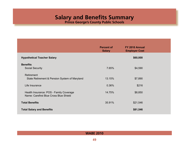**Prince George's County Public Schools**

<span id="page-49-0"></span>

|                                                                                   | <b>Percent of</b><br><b>Salary</b> | FY 2010 Annual<br><b>Employer Cost</b> |  |
|-----------------------------------------------------------------------------------|------------------------------------|----------------------------------------|--|
| <b>Hypothetical Teacher Salary</b>                                                |                                    | \$60,000                               |  |
| <b>Benefits</b>                                                                   |                                    |                                        |  |
| <b>Social Security</b>                                                            | 7.65%                              | \$4,590                                |  |
| Retirement                                                                        |                                    |                                        |  |
| State Retirement & Pension System of Maryland                                     | 13.15%                             | \$7,890                                |  |
| Life Insurance                                                                    | 0.36%                              | \$216                                  |  |
| Health Insurance: POS - Family Coverage<br>Name: Carefirst Blue Cross Blue Shield | 14.75%                             | \$8,850                                |  |
| <b>Total Benefits</b>                                                             | 35.91%                             | \$21,546                               |  |
| <b>Total Salary and Benefits</b>                                                  |                                    | \$81,546                               |  |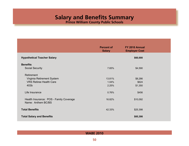**Prince William County Public Schools**

<span id="page-50-0"></span>

|                                                               | <b>Percent of</b><br><b>Salary</b> | FY 2010 Annual<br><b>Employer Cost</b> |
|---------------------------------------------------------------|------------------------------------|----------------------------------------|
| <b>Hypothetical Teacher Salary</b>                            |                                    | \$60,000                               |
| <b>Benefits</b>                                               |                                    |                                        |
| <b>Social Security</b>                                        | 7.65%                              | \$4,590                                |
| Retirement                                                    |                                    |                                        |
| Virginia Retirement System                                    | 13.81%                             | \$8,286                                |
| <b>VRS Retiree Health Care</b>                                | 1.04%                              | \$624                                  |
| 403b                                                          | 2.25%                              | \$1,350                                |
| Life Insurance                                                | 0.76%                              | \$456                                  |
| Health Insurance: POS - Family Coverage<br>Name: Anthem BC/BS | 16.82%                             | \$10,092                               |
| <b>Total Benefits</b>                                         | 42.33%                             | \$25,398                               |
| <b>Total Salary and Benefits</b>                              |                                    | \$85,398                               |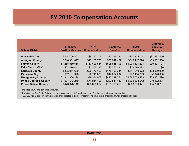# **FY 2010 Compensation Accounts**

<span id="page-51-0"></span>

| <b>School Division</b>         | <b>Full-Time</b><br><b>Position Salaries</b> | <b>Other</b><br>Compensation <sup>1</sup> | <b>Employee</b><br><b>Benefits</b> | Total<br><b>Compensation</b> | <b>Turnover &amp;</b><br><b>Vacancy</b><br><b>Savings</b> |
|--------------------------------|----------------------------------------------|-------------------------------------------|------------------------------------|------------------------------|-----------------------------------------------------------|
| <b>Alexandria City</b>         | \$114,756,201                                | \$8,272,109                               | \$47,296,734                       | \$170,325,044                | (\$1,631,459)                                             |
| <b>Arlington County</b>        | \$240,361,877                                | \$22,135,750                              | \$85,949,469                       | \$348,447,096                | (\$3,362,500)                                             |
| <b>Fairfax County</b>          | \$1,285,589,556                              | \$117,629,544                             | \$505,885,103                      | \$1,909,104,203              | (\$30,424,127)                                            |
| Falls Church City <sup>2</sup> | \$22,476,441                                 | \$2,365,187                               | \$7,755,064                        | \$32,596,692                 | \$0                                                       |
| <b>Loudoun County</b>          | \$435,951,639                                | \$26,772,100                              | \$178,495,334                      | \$641,219,073                | (\$3,960,000)                                             |
| <b>Manassas City</b>           | \$52,161,976                                 | \$2,710,629                               | \$17,622,204                       | \$72,494,809                 | $($ \$620,000)                                            |
| <b>Montgomery County</b>       | \$1,341,906,124                              | \$78,334,008                              | \$445,299,351                      | \$1,865,539,483              | (\$29,331,596)                                            |
| <b>Prince George's County</b>  | \$1,027,513,259                              | \$74,814,496                              | \$200,541,187                      | \$1,302,868,942              | (\$10,222,291)                                            |
| <b>Prince William County</b>   | \$473,673,142                                | \$23,898,064                              | \$165,765,215                      | \$663,336,421                | (\$4,736,731)                                             |

<sup>1</sup> Includes hourly and part-time accounts.

 $2$  Falls Church City Public Schools budgets using current staff grade and step. Teacher vacancies are budgeted at MA+30, step 9; support staff vacancies are budgeted at step 5. Therefore, no savings are anticipated when preparing budgets.